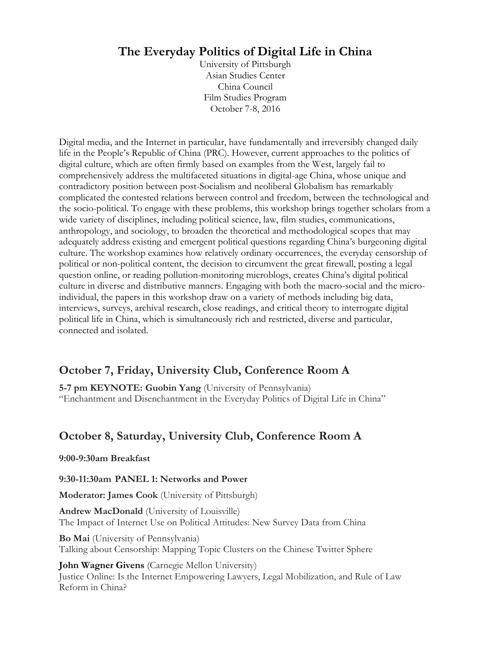# **The Everyday Politics of Digital Life in China**

University of Pittsburgh Asian Studies Center China Council Film Studies Program October 7-8, 2016

Digital media, and the Internet in particular, have fundamentally and irreversibly changed daily life in the People's Republic of China (PRC). However, current approaches to the politics of digital culture, which are often firmly based on examples from the West, largely fail to comprehensively address the multifaceted situations in digital-age China, whose unique and contradictory position between post-Socialism and neoliberal Globalism has remarkably complicated the contested relations between control and freedom, between the technological and the socio-political. To engage with these problems, this workshop brings together scholars from a wide variety of disciplines, including political science, law, film studies, communications, anthropology, and sociology, to broaden the theoretical and methodological scopes that may adequately address existing and emergent political questions regarding China's burgeoning digital culture. The workshop examines how relatively ordinary occurrences, the everyday censorship of political or non-political content, the decision to circumvent the great firewall, posting a legal question online, or reading pollution-monitoring microblogs, creates China's digital political culture in diverse and distributive manners. Engaging with both the macro-social and the microindividual, the papers in this workshop draw on a variety of methods including big data, interviews, surveys, archival research, close readings, and critical theory to interrogate digital political life in China, which is simultaneously rich and restricted, diverse and particular, connected and isolated.

## **October 7, Friday, University Club, Conference Room A**

**5-7 pm KEYNOTE: Guobin Yang** (University of Pennsylvania) "Enchantment and Disenchantment in the Everyday Politics of Digital Life in China"

# **October 8, Saturday, University Club, Conference Room A**

#### **9:00-9:30am Breakfast**

#### **9:30-11:30am PANEL 1: Networks and Power**

**Moderator: James Cook** (University of Pittsburgh)

**Andrew MacDonald** (University of Louisville) The Impact of Internet Use on Political Attitudes: New Survey Data from China

**Bo Mai** (University of Pennsylvania) Talking about Censorship: Mapping Topic Clusters on the Chinese Twitter Sphere

**John Wagner Givens** (Carnegie Mellon University) Justice Online: Is the Internet Empowering Lawyers, Legal Mobilization, and Rule of Law Reform in China?